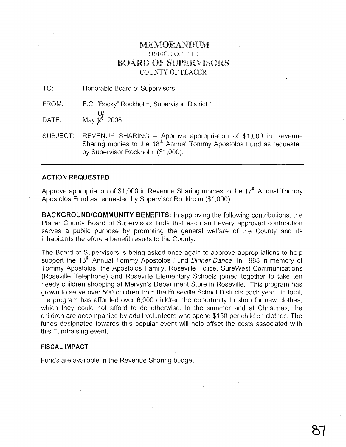## MEMORAND1JM OFFICE OF THE BOARD OF SUPERVISORS COUNTY OF PLACER

TO: Honorable Board of Supervisors

FROM: .F.C. "Rocky" Rockholm, Supervisor, District 1

 $\begin{array}{cc}\n\mathbf{0} & \mathbf{\Omega} \\
\mathbf{0} & \mathbf{\Omega} \\
\mathbf{\Omega} & \mathbf{\Omega} \\
\mathbf{\Omega} & \mathbf{\Omega} \\
\mathbf{\Omega} & \mathbf{\Omega} \\
\mathbf{\Omega} & \mathbf{\Omega} \\
\mathbf{\Omega} & \mathbf{\Omega} \\
\mathbf{\Omega} & \mathbf{\Omega} \\
\mathbf{\Omega} & \mathbf{\Omega} \\
\mathbf{\Omega} & \mathbf{\Omega} \\
\mathbf{\Omega} & \mathbf{\Omega} \\
\mathbf{\Omega} & \mathbf{\Omega} \\
\mathbf{\Omega} & \mathbf{\Omega} \\
\mathbf{\Omega} & \mathbf{\Omega} \\
\mathbf{\Omega} & \mathbf{\Omega} \\
\math$ 

SUBJECT: REVENUE SHARING - Approve appropriation of \$1,000 in Revenue Sharing monies to the 18<sup>th</sup> Annual Tommy Apostolos Fund as requested by Supervisor Rockholm (\$1,000).

## **ACTION REQUESTED**

Approve appropriation of \$1,000 in Revenue Sharing monies to the  $17<sup>th</sup>$  Annual Tommv Apostolos Fund as requested by Supervisor Rockholm (\$1,000).

**BACKGROUND/COMMUNITY BENEFITS:** In approving the following contributions, the Placer County Board of Supervisors finds that each and every approved contribution serves a public purpose by promoting the general welfare of the County and its inhabitants therefore a benefit results to the County.

The Board of Supervisors is being asked once again to approve appropriations to help support the 18<sup>th</sup> Annual Tommy Apostolos Fund Dinner-Dance. In 1988 in memory of Tommy Apostolos, the Apostolos Family, Roseville Police, SureWest Communications (Roseville Telephone) and Roseville Elementary Schools joined together to take ten needy children shopping at Mervyn's Department Store in Roseville. This program has grown to serve over 500 children from the Roseville School Districts each year. In total, the program has afforded over 6,000 children the opportunity to shop for new clothes, which they could not afford to do otherwise. In the summer and at Christmas, the children are accompanied by adult volunteers who spend \$150 per child on clothes. The funds designated towards this popular event will help offset the costs associated with this Fundraising event.

## **FISCAL IMPACT**

Funds are available in the Revenue Sharing budget.